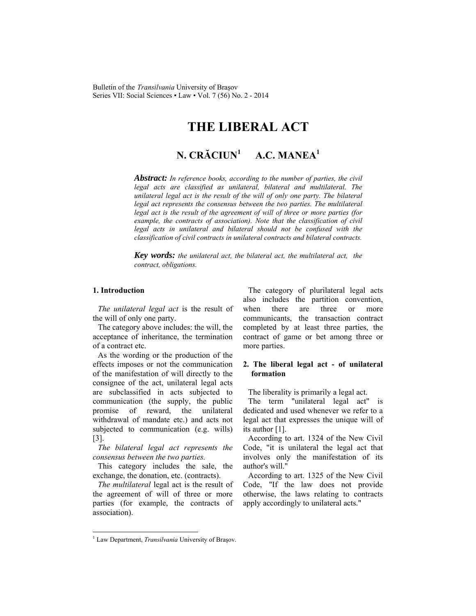# **THE LIBERAL ACT**

#### **N. CRĂCIUN<sup>1</sup> A.C. MANEA1**

*Abstract: In reference books, according to the number of parties, the civil legal acts are classified as unilateral, bilateral and multilateral. The unilateral legal act is the result of the will of only one party. The bilateral legal act represents the consensus between the two parties. The multilateral legal act is the result of the agreement of will of three or more parties (for example, the contracts of association). Note that the classification of civil legal acts in unilateral and bilateral should not be confused with the classification of civil contracts in unilateral contracts and bilateral contracts.* 

*Key words: the unilateral act, the bilateral act, the multilateral act, the contract, obligations.*

## **1. Introduction**

*The unilateral legal act* is the result of the will of only one party.

The category above includes: the will, the acceptance of inheritance, the termination of a contract etc.

As the wording or the production of the effects imposes or not the communication of the manifestation of will directly to the consignee of the act, unilateral legal acts are subclassified in acts subjected to communication (the supply, the public promise of reward, the unilateral withdrawal of mandate etc.) and acts not subjected to communication (e.g. wills) [3].

*The bilateral legal act represents the consensus between the two parties.*

This category includes the sale, the exchange, the donation, etc. (contracts).

*The multilateral* legal act is the result of the agreement of will of three or more parties (for example, the contracts of association).

The category of plurilateral legal acts also includes the partition convention, when there are three or more communicants, the transaction contract completed by at least three parties, the contract of game or bet among three or more parties.

# **2. The liberal legal act - of unilateral formation**

The liberality is primarily a legal act.

The term "unilateral legal act" is dedicated and used whenever we refer to a legal act that expresses the unique will of its author [1].

According to art. 1324 of the New Civil Code, "it is unilateral the legal act that involves only the manifestation of its author's will."

According to art. 1325 of the New Civil Code, "If the law does not provide otherwise, the laws relating to contracts apply accordingly to unilateral acts."

l

<sup>&</sup>lt;sup>1</sup> Law Department, *Transilvania* University of Braşov.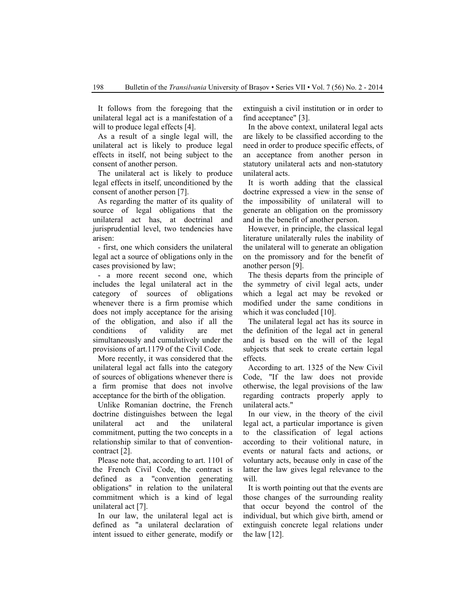It follows from the foregoing that the unilateral legal act is a manifestation of a will to produce legal effects [4].

As a result of a single legal will, the unilateral act is likely to produce legal effects in itself, not being subject to the consent of another person.

The unilateral act is likely to produce legal effects in itself, unconditioned by the consent of another person [7].

As regarding the matter of its quality of source of legal obligations that the unilateral act has, at doctrinal and jurisprudential level, two tendencies have arisen:

- first, one which considers the unilateral legal act a source of obligations only in the cases provisioned by law;

- a more recent second one, which includes the legal unilateral act in the category of sources of obligations whenever there is a firm promise which does not imply acceptance for the arising of the obligation, and also if all the conditions of validity are met simultaneously and cumulatively under the provisions of art.1179 of the Civil Code.

More recently, it was considered that the unilateral legal act falls into the category of sources of obligations whenever there is a firm promise that does not involve acceptance for the birth of the obligation.

Unlike Romanian doctrine, the French doctrine distinguishes between the legal unilateral act and the unilateral commitment, putting the two concepts in a relationship similar to that of conventioncontract [2].

Please note that, according to art. 1101 of the French Civil Code, the contract is defined as a "convention generating obligations" in relation to the unilateral commitment which is a kind of legal unilateral act [7].

In our law, the unilateral legal act is defined as "a unilateral declaration of intent issued to either generate, modify or extinguish a civil institution or in order to find acceptance" [3].

In the above context, unilateral legal acts are likely to be classified according to the need in order to produce specific effects, of an acceptance from another person in statutory unilateral acts and non-statutory unilateral acts.

It is worth adding that the classical doctrine expressed a view in the sense of the impossibility of unilateral will to generate an obligation on the promissory and in the benefit of another person.

However, in principle, the classical legal literature unilaterally rules the inability of the unilateral will to generate an obligation on the promissory and for the benefit of another person [9].

The thesis departs from the principle of the symmetry of civil legal acts, under which a legal act may be revoked or modified under the same conditions in which it was concluded [10].

The unilateral legal act has its source in the definition of the legal act in general and is based on the will of the legal subjects that seek to create certain legal effects.

According to art. 1325 of the New Civil Code, "If the law does not provide otherwise, the legal provisions of the law regarding contracts properly apply to unilateral acts."

In our view, in the theory of the civil legal act, a particular importance is given to the classification of legal actions according to their volitional nature, in events or natural facts and actions, or voluntary acts, because only in case of the latter the law gives legal relevance to the will.

It is worth pointing out that the events are those changes of the surrounding reality that occur beyond the control of the individual, but which give birth, amend or extinguish concrete legal relations under the law [12].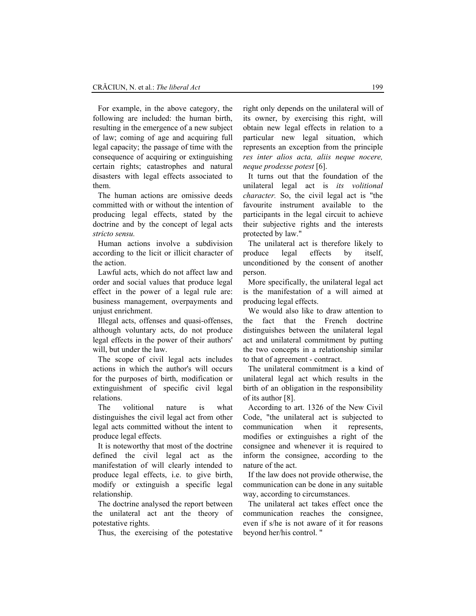For example, in the above category, the following are included: the human birth, resulting in the emergence of a new subject of law; coming of age and acquiring full legal capacity; the passage of time with the consequence of acquiring or extinguishing certain rights; catastrophes and natural disasters with legal effects associated to them.

The human actions are omissive deeds committed with or without the intention of producing legal effects, stated by the doctrine and by the concept of legal acts *stricto sensu.* 

Human actions involve a subdivision according to the licit or illicit character of the action.

Lawful acts, which do not affect law and order and social values that produce legal effect in the power of a legal rule are: business management, overpayments and unjust enrichment.

Illegal acts, offenses and quasi-offenses, although voluntary acts, do not produce legal effects in the power of their authors' will, but under the law.

The scope of civil legal acts includes actions in which the author's will occurs for the purposes of birth, modification or extinguishment of specific civil legal relations.

The volitional nature is what distinguishes the civil legal act from other legal acts committed without the intent to produce legal effects.

It is noteworthy that most of the doctrine defined the civil legal act as the manifestation of will clearly intended to produce legal effects, i.e. to give birth, modify or extinguish a specific legal relationship.

The doctrine analysed the report between the unilateral act ant the theory of potestative rights.

Thus, the exercising of the potestative

right only depends on the unilateral will of its owner, by exercising this right, will obtain new legal effects in relation to a particular new legal situation, which represents an exception from the principle *res inter alios acta, aliis neque nocere, neque prodesse potest* [6].

It turns out that the foundation of the unilateral legal act is *its volitional character.* So, the civil legal act is "the favourite instrument available to the participants in the legal circuit to achieve their subjective rights and the interests protected by law."

The unilateral act is therefore likely to produce legal effects by itself, unconditioned by the consent of another person.

More specifically, the unilateral legal act is the manifestation of a will aimed at producing legal effects.

We would also like to draw attention to the fact that the French doctrine distinguishes between the unilateral legal act and unilateral commitment by putting the two concepts in a relationship similar to that of agreement - contract.

The unilateral commitment is a kind of unilateral legal act which results in the birth of an obligation in the responsibility of its author [8].

According to art. 1326 of the New Civil Code, "the unilateral act is subjected to communication when it represents, modifies or extinguishes a right of the consignee and whenever it is required to inform the consignee, according to the nature of the act.

If the law does not provide otherwise, the communication can be done in any suitable way, according to circumstances.

The unilateral act takes effect once the communication reaches the consignee, even if s/he is not aware of it for reasons beyond her/his control. "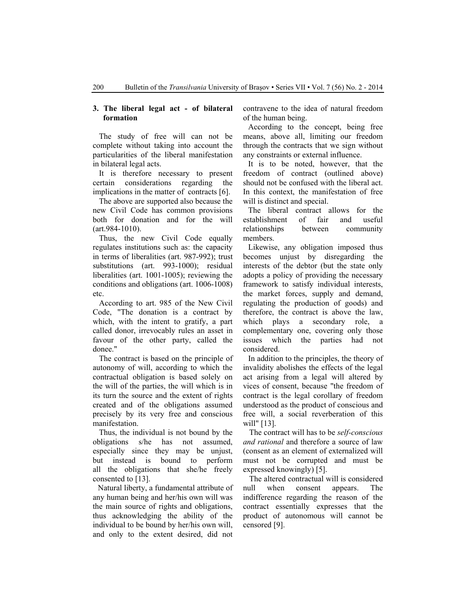#### **3. The liberal legal act - of bilateral formation**

The study of free will can not be complete without taking into account the particularities of the liberal manifestation in bilateral legal acts.

It is therefore necessary to present certain considerations regarding the implications in the matter of contracts [6].

The above are supported also because the new Civil Code has common provisions both for donation and for the will (art.984-1010).

Thus, the new Civil Code equally regulates institutions such as: the capacity in terms of liberalities (art. 987-992); trust substitutions (art. 993-1000); residual liberalities (art. 1001-1005); reviewing the conditions and obligations (art. 1006-1008) etc.

According to art. 985 of the New Civil Code, "The donation is a contract by which, with the intent to gratify, a part called donor, irrevocably rules an asset in favour of the other party, called the donee."

The contract is based on the principle of autonomy of will, according to which the contractual obligation is based solely on the will of the parties, the will which is in its turn the source and the extent of rights created and of the obligations assumed precisely by its very free and conscious manifestation.

Thus, the individual is not bound by the obligations s/he has not assumed, especially since they may be unjust, but instead is bound to perform all the obligations that she/he freely consented to [13].

Natural liberty, a fundamental attribute of any human being and her/his own will was the main source of rights and obligations, thus acknowledging the ability of the individual to be bound by her/his own will, and only to the extent desired, did not

contravene to the idea of natural freedom of the human being.

According to the concept, being free means, above all, limiting our freedom through the contracts that we sign without any constraints or external influence.

It is to be noted, however, that the freedom of contract (outlined above) should not be confused with the liberal act. In this context, the manifestation of free will is distinct and special.

The liberal contract allows for the establishment of fair and useful relationships between community members.

Likewise, any obligation imposed thus becomes unjust by disregarding the interests of the debtor (but the state only adopts a policy of providing the necessary framework to satisfy individual interests, the market forces, supply and demand, regulating the production of goods) and therefore, the contract is above the law, which plays a secondary role, a complementary one, covering only those issues which the parties had not considered.

In addition to the principles, the theory of invalidity abolishes the effects of the legal act arising from a legal will altered by vices of consent, because "the freedom of contract is the legal corollary of freedom understood as the product of conscious and free will, a social reverberation of this will" [13].

The contract will has to be *self-conscious and rational* and therefore a source of law (consent as an element of externalized will must not be corrupted and must be expressed knowingly) [5].

The altered contractual will is considered null when consent appears. The indifference regarding the reason of the contract essentially expresses that the product of autonomous will cannot be censored [9].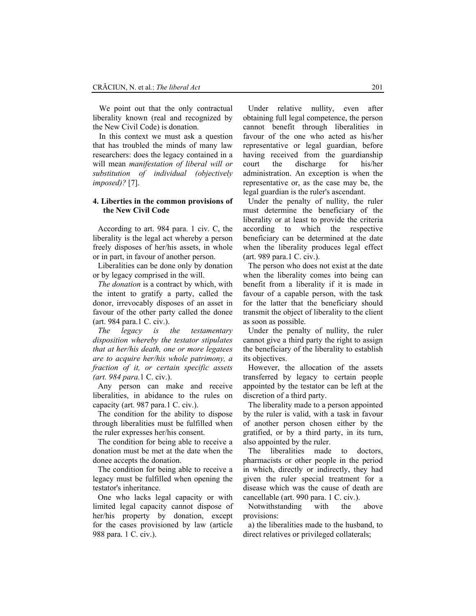We point out that the only contractual liberality known (real and recognized by the New Civil Code) is donation.

In this context we must ask a question that has troubled the minds of many law researchers: does the legacy contained in a will mean *manifestation of liberal will or substitution of individual (objectively imposed)?* [7].

# **4. Liberties in the common provisions of the New Civil Code**

According to art. 984 para. 1 civ. C, the liberality is the legal act whereby a person freely disposes of her/his assets, in whole or in part, in favour of another person.

Liberalities can be done only by donation or by legacy comprised in the will.

*The donation* is a contract by which, with the intent to gratify a party, called the donor, irrevocably disposes of an asset in favour of the other party called the donee (art. 984 para.1 C. civ.).

*The legacy is the testamentary disposition whereby the testator stipulates that at her/his death, one or more legatees are to acquire her/his whole patrimony, a fraction of it, or certain specific assets (art. 984 para.*1 C. civ.).

Any person can make and receive liberalities, in abidance to the rules on capacity (art. 987 para.1 C. civ.).

The condition for the ability to dispose through liberalities must be fulfilled when the ruler expresses her/his consent.

The condition for being able to receive a donation must be met at the date when the donee accepts the donation.

The condition for being able to receive a legacy must be fulfilled when opening the testator's inheritance.

One who lacks legal capacity or with limited legal capacity cannot dispose of her/his property by donation, except for the cases provisioned by law (article 988 para. 1 C. civ.).

Under relative nullity, even after obtaining full legal competence, the person cannot benefit through liberalities in favour of the one who acted as his/her representative or legal guardian, before having received from the guardianship court the discharge for his/her administration. An exception is when the representative or, as the case may be, the legal guardian is the ruler's ascendant.

Under the penalty of nullity, the ruler must determine the beneficiary of the liberality or at least to provide the criteria according to which the respective beneficiary can be determined at the date when the liberality produces legal effect (art. 989 para.1 C. civ.).

The person who does not exist at the date when the liberality comes into being can benefit from a liberality if it is made in favour of a capable person, with the task for the latter that the beneficiary should transmit the object of liberality to the client as soon as possible.

Under the penalty of nullity, the ruler cannot give a third party the right to assign the beneficiary of the liberality to establish its objectives.

However, the allocation of the assets transferred by legacy to certain people appointed by the testator can be left at the discretion of a third party.

The liberality made to a person appointed by the ruler is valid, with a task in favour of another person chosen either by the gratified, or by a third party, in its turn, also appointed by the ruler.

The liberalities made to doctors, pharmacists or other people in the period in which, directly or indirectly, they had given the ruler special treatment for a disease which was the cause of death are cancellable (art. 990 para. 1 C. civ.).

Notwithstanding with the above provisions:

a) the liberalities made to the husband, to direct relatives or privileged collaterals;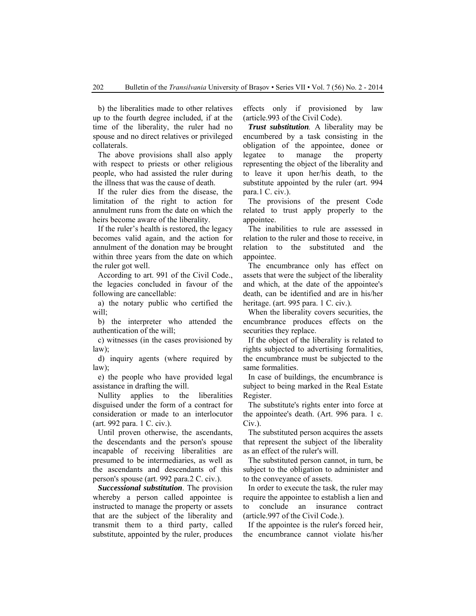b) the liberalities made to other relatives up to the fourth degree included, if at the time of the liberality, the ruler had no spouse and no direct relatives or privileged collaterals.

The above provisions shall also apply with respect to priests or other religious people, who had assisted the ruler during the illness that was the cause of death.

If the ruler dies from the disease, the limitation of the right to action for annulment runs from the date on which the heirs become aware of the liberality.

If the ruler's health is restored, the legacy becomes valid again, and the action for annulment of the donation may be brought within three years from the date on which the ruler got well.

According to art. 991 of the Civil Code., the legacies concluded in favour of the following are cancellable:

a) the notary public who certified the will;

b) the interpreter who attended the authentication of the will;

c) witnesses (in the cases provisioned by law);

d) inquiry agents (where required by law);

e) the people who have provided legal assistance in drafting the will.

Nullity applies to the liberalities disguised under the form of a contract for consideration or made to an interlocutor (art. 992 para. 1 C. civ.).

Until proven otherwise, the ascendants, the descendants and the person's spouse incapable of receiving liberalities are presumed to be intermediaries, as well as the ascendants and descendants of this person's spouse (art. 992 para.2 C. civ.).

*Successional substitution*. The provision whereby a person called appointee is instructed to manage the property or assets that are the subject of the liberality and transmit them to a third party, called substitute, appointed by the ruler, produces effects only if provisioned by law (article.993 of the Civil Code).

*Trust substitution.* A liberality may be encumbered by a task consisting in the obligation of the appointee, donee or legatee to manage the property representing the object of the liberality and to leave it upon her/his death, to the substitute appointed by the ruler (art. 994 para.1 C. civ.).

The provisions of the present Code related to trust apply properly to the appointee.

The inabilities to rule are assessed in relation to the ruler and those to receive, in relation to the substituted and the appointee.

The encumbrance only has effect on assets that were the subject of the liberality and which, at the date of the appointee's death, can be identified and are in his/her heritage. (art. 995 para. 1 C. civ.).

When the liberality covers securities, the encumbrance produces effects on the securities they replace.

If the object of the liberality is related to rights subjected to advertising formalities, the encumbrance must be subjected to the same formalities.

In case of buildings, the encumbrance is subject to being marked in the Real Estate Register.

The substitute's rights enter into force at the appointee's death. (Art. 996 para. 1 c. Civ.).

The substituted person acquires the assets that represent the subject of the liberality as an effect of the ruler's will.

The substituted person cannot, in turn, be subject to the obligation to administer and to the conveyance of assets.

In order to execute the task, the ruler may require the appointee to establish a lien and to conclude an insurance contract (article.997 of the Civil Code.).

If the appointee is the ruler's forced heir, the encumbrance cannot violate his/her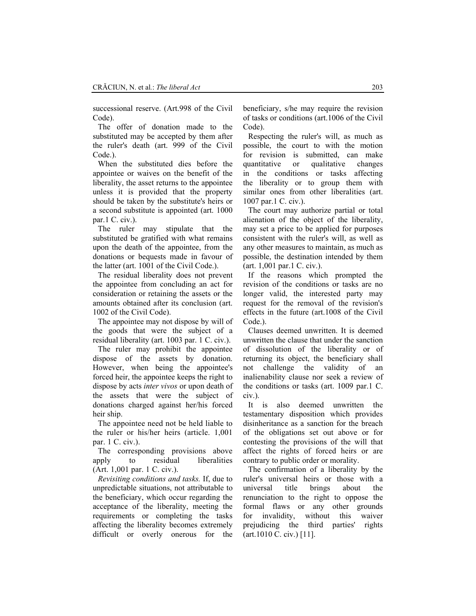successional reserve. (Art.998 of the Civil Code).

The offer of donation made to the substituted may be accepted by them after the ruler's death (art. 999 of the Civil Code.).

When the substituted dies before the appointee or waives on the benefit of the liberality, the asset returns to the appointee unless it is provided that the property should be taken by the substitute's heirs or a second substitute is appointed (art. 1000 par.1 C. civ.).

The ruler may stipulate that the substituted be gratified with what remains upon the death of the appointee, from the donations or bequests made in favour of the latter (art. 1001 of the Civil Code.).

The residual liberality does not prevent the appointee from concluding an act for consideration or retaining the assets or the amounts obtained after its conclusion (art. 1002 of the Civil Code).

The appointee may not dispose by will of the goods that were the subject of a residual liberality (art. 1003 par. 1 C. civ.).

The ruler may prohibit the appointee dispose of the assets by donation. However, when being the appointee's forced heir, the appointee keeps the right to dispose by acts *inter vivos* or upon death of the assets that were the subject of donations charged against her/his forced heir ship.

The appointee need not be held liable to the ruler or his/her heirs (article. 1,001 par. 1 C. civ.).

The corresponding provisions above apply to residual liberalities (Art. 1,001 par. 1 C. civ.).

*Revisiting conditions and tasks.* If, due to unpredictable situations, not attributable to the beneficiary, which occur regarding the acceptance of the liberality, meeting the requirements or completing the tasks affecting the liberality becomes extremely difficult or overly onerous for the beneficiary, s/he may require the revision of tasks or conditions (art.1006 of the Civil Code).

Respecting the ruler's will, as much as possible, the court to with the motion for revision is submitted, can make quantitative or qualitative changes in the conditions or tasks affecting the liberality or to group them with similar ones from other liberalities (art. 1007 par.1 C. civ.).

The court may authorize partial or total alienation of the object of the liberality, may set a price to be applied for purposes consistent with the ruler's will, as well as any other measures to maintain, as much as possible, the destination intended by them (art. 1,001 par.1 C. civ.).

If the reasons which prompted the revision of the conditions or tasks are no longer valid, the interested party may request for the removal of the revision's effects in the future (art.1008 of the Civil Code.).

Clauses deemed unwritten. It is deemed unwritten the clause that under the sanction of dissolution of the liberality or of returning its object, the beneficiary shall not challenge the validity of an inalienability clause nor seek a review of the conditions or tasks (art. 1009 par.1 C. civ.).

It is also deemed unwritten the testamentary disposition which provides disinheritance as a sanction for the breach of the obligations set out above or for contesting the provisions of the will that affect the rights of forced heirs or are contrary to public order or morality.

The confirmation of a liberality by the ruler's universal heirs or those with a universal title brings about the renunciation to the right to oppose the formal flaws or any other grounds for invalidity, without this waiver prejudicing the third parties' rights (art.1010 C. civ.) [11].